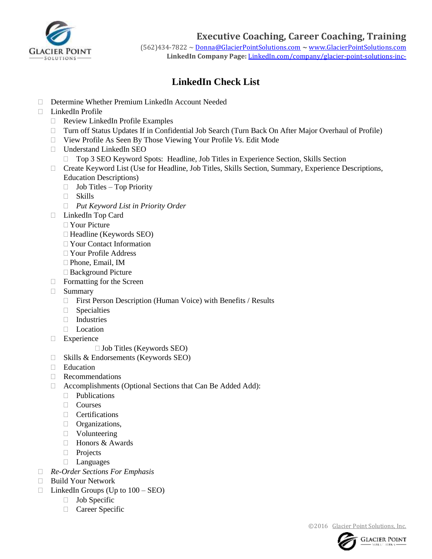

**Executive Coaching, Career Coaching, Training** 

(562)434-7822 ~ [Donna@GlacierPointSolutions.com](mailto:Donna@GlacierPointSolutions.com) ~ [www.GlacierPointSolutions.com](http://www.glacierpointsolutions.com/) **LinkedIn Company Page:** LinkedIn.com/company/glacier-point-solutions-inc-

## **LinkedIn Check List**

- Determine Whether Premium LinkedIn Account Needed
- $\Box$  LinkedIn Profile
	- Review LinkedIn Profile Examples
	- Turn off Status Updates If in Confidential Job Search (Turn Back On After Major Overhaul of Profile)
	- View Profile As Seen By Those Viewing Your Profile *Vs.* Edit Mode
	- Understand LinkedIn SEO
		- □ Top 3 SEO Keyword Spots: Headline, Job Titles in Experience Section, Skills Section
	- Create Keyword List (Use for Headline, Job Titles, Skills Section, Summary, Experience Descriptions, Education Descriptions)
		- $\Box$  Job Titles Top Priority
		- Skills
		- *Put Keyword List in Priority Order*
	- □ LinkedIn Top Card
		- □ Your Picture
		- $\Box$  Headline (Keywords SEO)
		- Your Contact Information
		- Your Profile Address
		- Phone, Email, IM
		- □ Background Picture
	- □ Formatting for the Screen
	- Summary
		- □ First Person Description (Human Voice) with Benefits / Results
		- **Specialties**
		- Industries
		- **Location**
	- **Experience** 
		- $\Box$  Job Titles (Keywords SEO)
	- $\Box$  Skills & Endorsements (Keywords SEO)
	- □ Education
	- Recommendations
	- Accomplishments (Optional Sections that Can Be Added Add):
		- **Publications**
		- Courses
		- **Certifications**
		- **D** Organizations,
		- **Volunteering**
		- □ Honors & Awards
		- **Projects**
		- Languages
- *Re-Order Sections For Emphasis*
- Build Your Network
- $\Box$  LinkedIn Groups (Up to  $100 \text{SED}$ )
	- $\Box$  Job Specific
	- Career Specific

©2016 [Glacier Point Solutions,](http://glacierpointsolutions.com/) Inc.